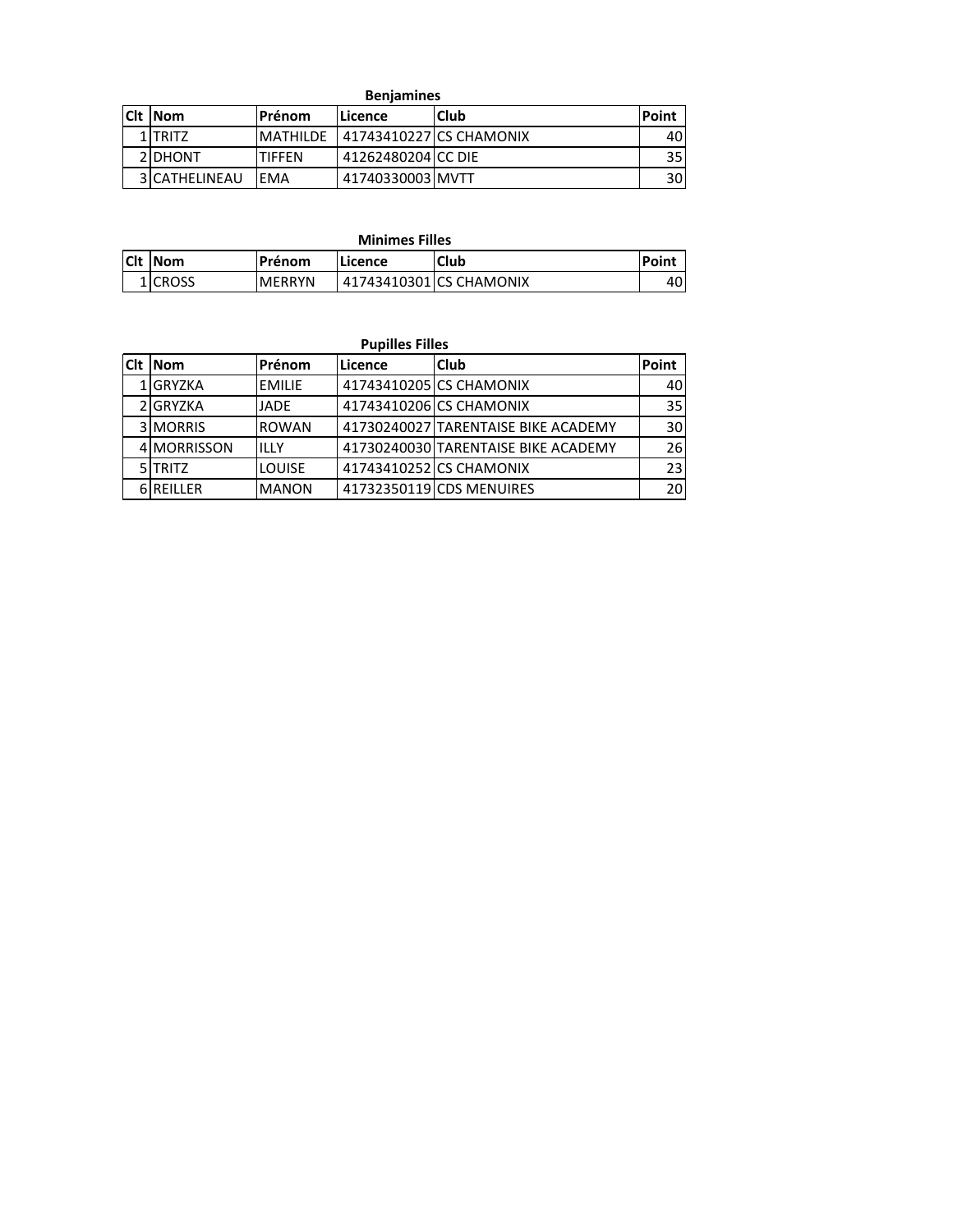| <b>Benjamines</b> |                 |                          |             |       |  |  |
|-------------------|-----------------|--------------------------|-------------|-------|--|--|
| <b>Cit INom</b>   | l Prénom        | lLicence                 | <b>Club</b> | Point |  |  |
| 1 TRITZ           | <b>MATHILDE</b> | 141743410227 CS CHAMONIX |             | 401   |  |  |
| 2IDHONT           | <b>TIFFEN</b>   | 41262480204 CC DIE       |             | 35 I  |  |  |
| 3 CATHELINEAU     | <b>FMA</b>      | 41740330003 MVTT         |             | 30I   |  |  |

|             | .              |                |         |                         |       |  |  |
|-------------|----------------|----------------|---------|-------------------------|-------|--|--|
| <b>ICIt</b> | lNom           | <b>IPrénom</b> | Licence | Club                    | Point |  |  |
|             | <b>1ICROSS</b> | <b>MERRYN</b>  |         | 41743410301 CS CHAMONIX | 40    |  |  |

| <b>Pupilles Filles</b> |             |               |         |                                     |              |  |
|------------------------|-------------|---------------|---------|-------------------------------------|--------------|--|
| <b>ICIt</b>            | <b>Nom</b>  | Prénom        | Licence | <b>Club</b>                         | <b>Point</b> |  |
|                        | 1 GRYZKA    | <b>EMILIE</b> |         | 41743410205 CS CHAMONIX             | 40           |  |
|                        | 2 GRYZKA    | JADE          |         | 41743410206 CS CHAMONIX             | 35           |  |
|                        | 3 MORRIS    | <b>ROWAN</b>  |         | 41730240027 TARENTAISE BIKE ACADEMY | 30           |  |
|                        | 4 MORRISSON | ILLY          |         | 41730240030 TARENTAISE BIKE ACADEMY | 26           |  |
|                        | 5 TRITZ     | <b>LOUISE</b> |         | 41743410252 CS CHAMONIX             | 23           |  |
|                        | 6 REILLER   | <b>MANON</b>  |         | 41732350119 CDS MENUIRES            | 20           |  |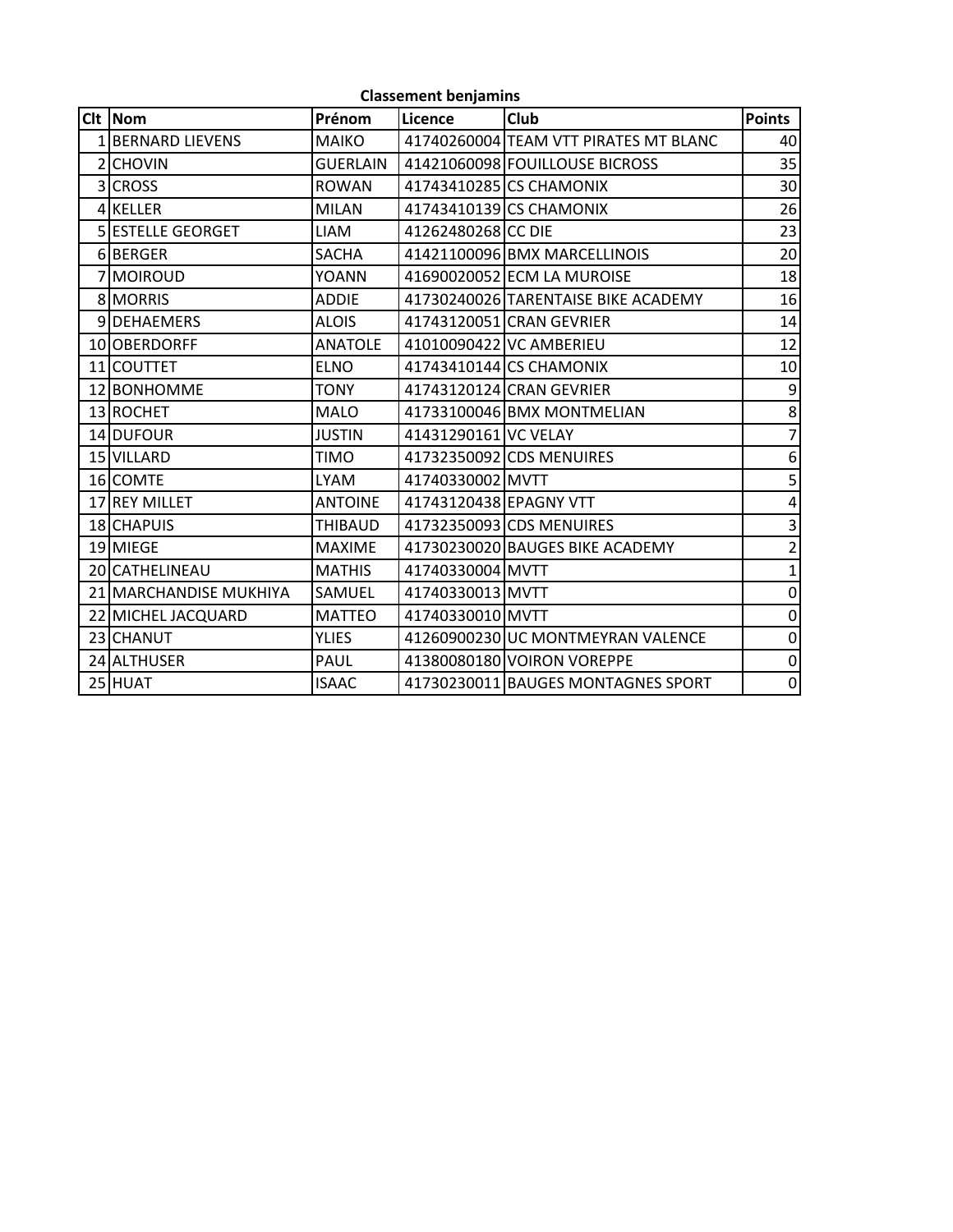|       | <b>Classement benjamins</b> |                 |                        |                                       |                |  |  |  |
|-------|-----------------------------|-----------------|------------------------|---------------------------------------|----------------|--|--|--|
| Clt I | <b>Nom</b>                  | Prénom          | Licence                | <b>Club</b>                           | <b>Points</b>  |  |  |  |
|       | 1 BERNARD LIEVENS           | <b>MAIKO</b>    |                        | 41740260004 TEAM VTT PIRATES MT BLANC | 40             |  |  |  |
|       | 2 CHOVIN                    | <b>GUERLAIN</b> |                        | 41421060098 FOUILLOUSE BICROSS        | 35             |  |  |  |
|       | 3 CROSS                     | <b>ROWAN</b>    |                        | 41743410285 CS CHAMONIX               | 30             |  |  |  |
|       | 4 KELLER                    | <b>MILAN</b>    |                        | 41743410139 CS CHAMONIX               | 26             |  |  |  |
|       | <b>SIESTELLE GEORGET</b>    | <b>LIAM</b>     | 41262480268 CC DIE     |                                       | 23             |  |  |  |
|       | 6BERGER                     | <b>SACHA</b>    |                        | 41421100096 BMX MARCELLINOIS          | 20             |  |  |  |
|       | 7 MOIROUD                   | YOANN           |                        | 41690020052 ECM LA MUROISE            | 18             |  |  |  |
|       | 8 MORRIS                    | <b>ADDIE</b>    |                        | 41730240026 TARENTAISE BIKE ACADEMY   | 16             |  |  |  |
|       | 9DEHAEMERS                  | <b>ALOIS</b>    |                        | 41743120051 CRAN GEVRIER              | 14             |  |  |  |
|       | 10 OBERDORFF                | <b>ANATOLE</b>  |                        | 41010090422 VC AMBERIEU               | 12             |  |  |  |
|       | 11 COUTTET                  | <b>ELNO</b>     |                        | 41743410144 CS CHAMONIX               | 10             |  |  |  |
|       | 12 BONHOMME                 | TONY            |                        | 41743120124 CRAN GEVRIER              | 9              |  |  |  |
|       | 13 ROCHET                   | <b>MALO</b>     |                        | 41733100046 BMX MONTMELIAN            | $\overline{8}$ |  |  |  |
|       | 14 DUFOUR                   | <b>JUSTIN</b>   | 41431290161 VC VELAY   |                                       | $\overline{7}$ |  |  |  |
|       | 15 VILLARD                  | <b>TIMO</b>     |                        | 41732350092 CDS MENUIRES              | 6              |  |  |  |
|       | 16 COMTE                    | <b>LYAM</b>     | 41740330002 MVTT       |                                       | 5              |  |  |  |
|       | 17 REY MILLET               | <b>ANTOINE</b>  | 41743120438 EPAGNY VTT |                                       | 4              |  |  |  |
|       | 18 CHAPUIS                  | THIBAUD         |                        | 41732350093 CDS MENUIRES              | 3              |  |  |  |
|       | 19 MIEGE                    | <b>MAXIME</b>   |                        | 41730230020 BAUGES BIKE ACADEMY       | $\overline{2}$ |  |  |  |
|       | 20 CATHELINEAU              | <b>MATHIS</b>   | 41740330004 MVTT       |                                       | $\mathbf{1}$   |  |  |  |
|       | 21 MARCHANDISE MUKHIYA      | SAMUEL          | 41740330013 MVTT       |                                       | $\mathbf 0$    |  |  |  |
|       | 22 MICHEL JACQUARD          | <b>MATTEO</b>   | 41740330010 MVTT       |                                       | $\mathbf 0$    |  |  |  |
|       | 23 CHANUT                   | <b>YLIES</b>    |                        | 41260900230 UC MONTMEYRAN VALENCE     | $\mathbf 0$    |  |  |  |
|       | 24 ALTHUSER                 | PAUL            |                        | 41380080180 VOIRON VOREPPE            | $\mathbf 0$    |  |  |  |
|       | 25 HUAT                     | <b>ISAAC</b>    |                        | 41730230011 BAUGES MONTAGNES SPORT    | $\overline{0}$ |  |  |  |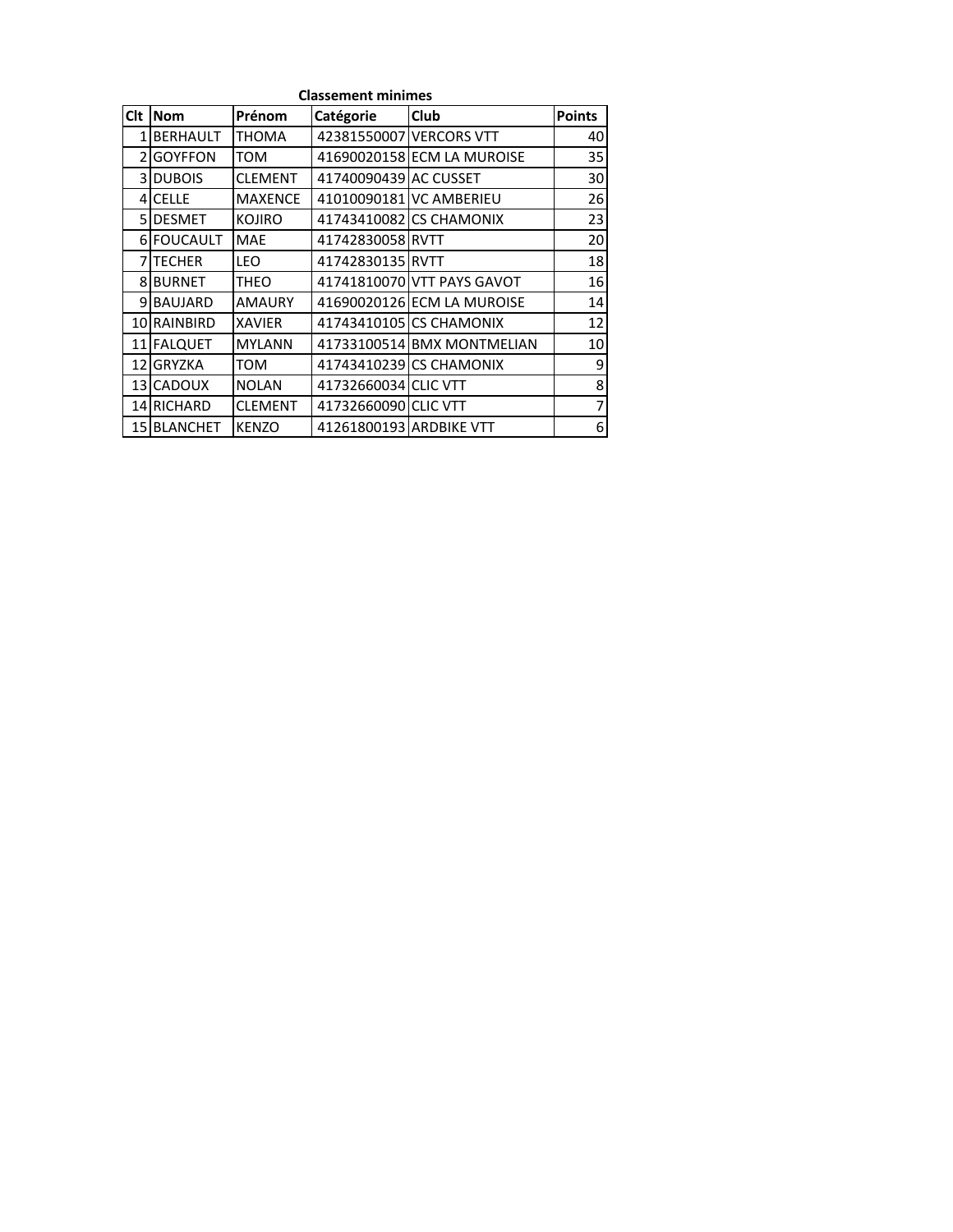| <b>Classement minimes</b> |                 |                |                         |                            |               |  |  |
|---------------------------|-----------------|----------------|-------------------------|----------------------------|---------------|--|--|
| Clt                       | <b>Nom</b>      | Prénom         | Catégorie               | Club                       | <b>Points</b> |  |  |
| $\mathbf{1}$              | <b>BERHAULT</b> | <b>THOMA</b>   |                         | 42381550007 VERCORS VTT    | 40            |  |  |
| $\mathcal{P}$             | <b>GOYFFON</b>  | TOM            |                         | 41690020158 ECM LA MUROISE | 35            |  |  |
|                           | 3 DUBOIS        | <b>CLEMENT</b> | 41740090439 AC CUSSET   |                            | 30            |  |  |
|                           | 4 CELLE         | <b>MAXENCE</b> |                         | 41010090181 VC AMBERIEU    | 26            |  |  |
|                           | 5 DESMET        | <b>KOJIRO</b>  |                         | 41743410082 CS CHAMONIX    | 23            |  |  |
|                           | 6 FOUCAULT      | <b>MAE</b>     | 41742830058 RVTT        |                            | 20            |  |  |
|                           | 7 TECHER        | <b>LEO</b>     | 41742830135 RVTT        |                            | 18            |  |  |
|                           | 8 BURNET        | THEO           |                         | 41741810070 VTT PAYS GAVOT | 16            |  |  |
|                           | 9 BAUJARD       | <b>AMAURY</b>  |                         | 41690020126 ECM LA MUROISE | 14            |  |  |
|                           | 10 RAINBIRD     | <b>XAVIER</b>  |                         | 41743410105 CS CHAMONIX    | 12            |  |  |
|                           | 11 FALQUET      | <b>MYLANN</b>  |                         | 41733100514 BMX MONTMELIAN | 10            |  |  |
| 121                       | <b>GRYZKA</b>   | <b>TOM</b>     |                         | 41743410239 CS CHAMONIX    | 9             |  |  |
|                           | 13 CADOUX       | <b>NOLAN</b>   | 41732660034 CLIC VTT    |                            | 8             |  |  |
|                           | 14 RICHARD      | <b>CLEMENT</b> | 41732660090 CLIC VTT    |                            | 7             |  |  |
|                           | 15 BLANCHET     | <b>KENZO</b>   | 41261800193 ARDBIKE VTT |                            | 6             |  |  |